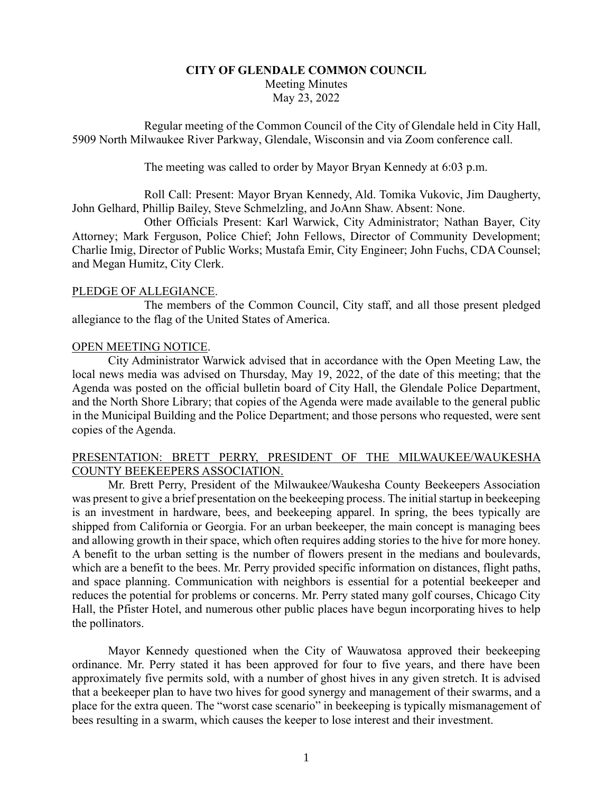# **CITY OF GLENDALE COMMON COUNCIL** Meeting Minutes May 23, 2022

Regular meeting of the Common Council of the City of Glendale held in City Hall, 5909 North Milwaukee River Parkway, Glendale, Wisconsin and via Zoom conference call.

The meeting was called to order by Mayor Bryan Kennedy at 6:03 p.m.

Roll Call: Present: Mayor Bryan Kennedy, Ald. Tomika Vukovic, Jim Daugherty, John Gelhard, Phillip Bailey, Steve Schmelzling, and JoAnn Shaw. Absent: None.

Other Officials Present: Karl Warwick, City Administrator; Nathan Bayer, City Attorney; Mark Ferguson, Police Chief; John Fellows, Director of Community Development; Charlie Imig, Director of Public Works; Mustafa Emir, City Engineer; John Fuchs, CDA Counsel; and Megan Humitz, City Clerk.

## PLEDGE OF ALLEGIANCE.

The members of the Common Council, City staff, and all those present pledged allegiance to the flag of the United States of America.

## OPEN MEETING NOTICE.

City Administrator Warwick advised that in accordance with the Open Meeting Law, the local news media was advised on Thursday, May 19, 2022, of the date of this meeting; that the Agenda was posted on the official bulletin board of City Hall, the Glendale Police Department, and the North Shore Library; that copies of the Agenda were made available to the general public in the Municipal Building and the Police Department; and those persons who requested, were sent copies of the Agenda.

# PRESENTATION: BRETT PERRY, PRESIDENT OF THE MILWAUKEE/WAUKESHA COUNTY BEEKEEPERS ASSOCIATION.

Mr. Brett Perry, President of the Milwaukee/Waukesha County Beekeepers Association was present to give a brief presentation on the beekeeping process. The initial startup in beekeeping is an investment in hardware, bees, and beekeeping apparel. In spring, the bees typically are shipped from California or Georgia. For an urban beekeeper, the main concept is managing bees and allowing growth in their space, which often requires adding stories to the hive for more honey. A benefit to the urban setting is the number of flowers present in the medians and boulevards, which are a benefit to the bees. Mr. Perry provided specific information on distances, flight paths, and space planning. Communication with neighbors is essential for a potential beekeeper and reduces the potential for problems or concerns. Mr. Perry stated many golf courses, Chicago City Hall, the Pfister Hotel, and numerous other public places have begun incorporating hives to help the pollinators.

Mayor Kennedy questioned when the City of Wauwatosa approved their beekeeping ordinance. Mr. Perry stated it has been approved for four to five years, and there have been approximately five permits sold, with a number of ghost hives in any given stretch. It is advised that a beekeeper plan to have two hives for good synergy and management of their swarms, and a place for the extra queen. The "worst case scenario" in beekeeping is typically mismanagement of bees resulting in a swarm, which causes the keeper to lose interest and their investment.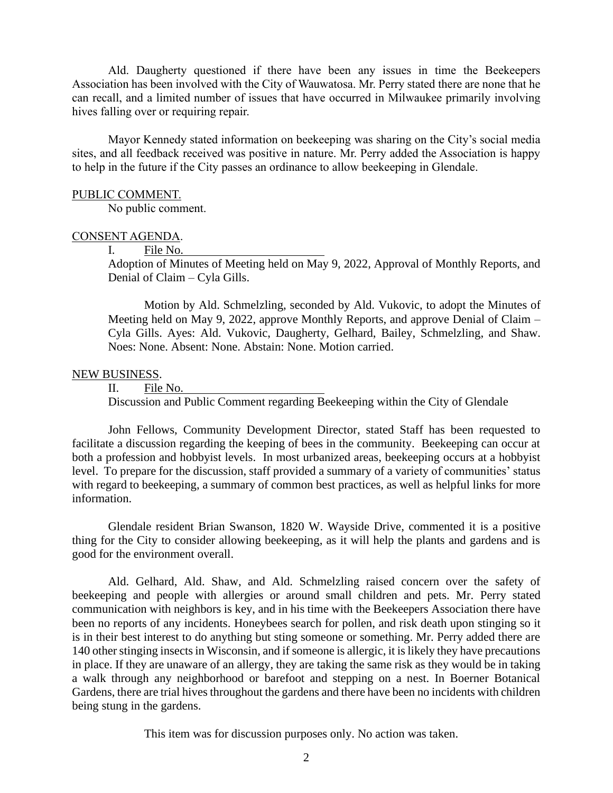Ald. Daugherty questioned if there have been any issues in time the Beekeepers Association has been involved with the City of Wauwatosa. Mr. Perry stated there are none that he can recall, and a limited number of issues that have occurred in Milwaukee primarily involving hives falling over or requiring repair.

Mayor Kennedy stated information on beekeeping was sharing on the City's social media sites, and all feedback received was positive in nature. Mr. Perry added the Association is happy to help in the future if the City passes an ordinance to allow beekeeping in Glendale.

#### PUBLIC COMMENT.

No public comment.

### CONSENT AGENDA.

I. File No.

Adoption of Minutes of Meeting held on May 9, 2022, Approval of Monthly Reports, and Denial of Claim – Cyla Gills.

Motion by Ald. Schmelzling, seconded by Ald. Vukovic, to adopt the Minutes of Meeting held on May 9, 2022, approve Monthly Reports, and approve Denial of Claim – Cyla Gills. Ayes: Ald. Vukovic, Daugherty, Gelhard, Bailey, Schmelzling, and Shaw. Noes: None. Absent: None. Abstain: None. Motion carried.

## NEW BUSINESS.

II. File No.

Discussion and Public Comment regarding Beekeeping within the City of Glendale

John Fellows, Community Development Director, stated Staff has been requested to facilitate a discussion regarding the keeping of bees in the community. Beekeeping can occur at both a profession and hobbyist levels. In most urbanized areas, beekeeping occurs at a hobbyist level. To prepare for the discussion, staff provided a summary of a variety of communities' status with regard to beekeeping, a summary of common best practices, as well as helpful links for more information.

Glendale resident Brian Swanson, 1820 W. Wayside Drive, commented it is a positive thing for the City to consider allowing beekeeping, as it will help the plants and gardens and is good for the environment overall.

Ald. Gelhard, Ald. Shaw, and Ald. Schmelzling raised concern over the safety of beekeeping and people with allergies or around small children and pets. Mr. Perry stated communication with neighbors is key, and in his time with the Beekeepers Association there have been no reports of any incidents. Honeybees search for pollen, and risk death upon stinging so it is in their best interest to do anything but sting someone or something. Mr. Perry added there are 140 other stinging insects in Wisconsin, and if someone is allergic, it is likely they have precautions in place. If they are unaware of an allergy, they are taking the same risk as they would be in taking a walk through any neighborhood or barefoot and stepping on a nest. In Boerner Botanical Gardens, there are trial hives throughout the gardens and there have been no incidents with children being stung in the gardens.

This item was for discussion purposes only. No action was taken.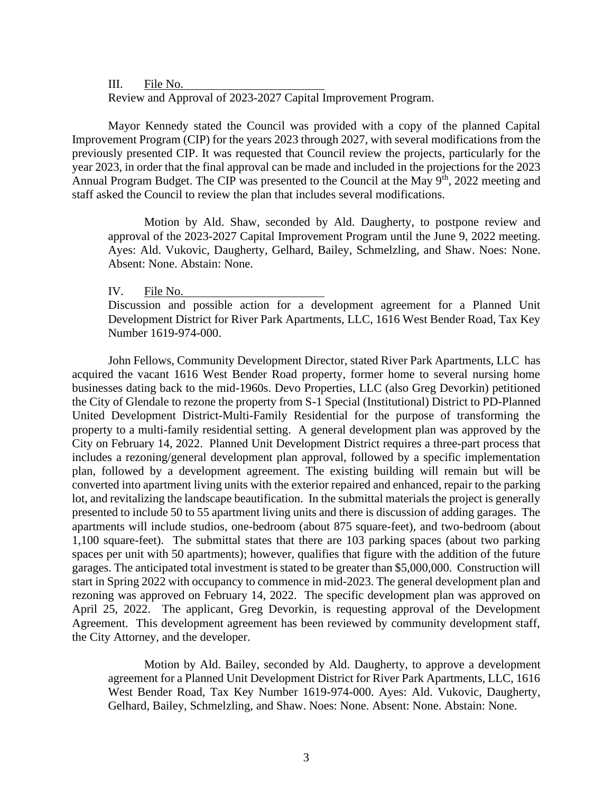III. File No.

Review and Approval of 2023-2027 Capital Improvement Program.

Mayor Kennedy stated the Council was provided with a copy of the planned Capital Improvement Program (CIP) for the years 2023 through 2027, with several modifications from the previously presented CIP. It was requested that Council review the projects, particularly for the year 2023, in order that the final approval can be made and included in the projections for the 2023 Annual Program Budget. The CIP was presented to the Council at the May 9<sup>th</sup>, 2022 meeting and staff asked the Council to review the plan that includes several modifications.

Motion by Ald. Shaw, seconded by Ald. Daugherty, to postpone review and approval of the 2023-2027 Capital Improvement Program until the June 9, 2022 meeting. Ayes: Ald. Vukovic, Daugherty, Gelhard, Bailey, Schmelzling, and Shaw. Noes: None. Absent: None. Abstain: None.

IV. File No.

Discussion and possible action for a development agreement for a Planned Unit Development District for River Park Apartments, LLC, 1616 West Bender Road, Tax Key Number 1619-974-000.

John Fellows, Community Development Director, stated River Park Apartments, LLC has acquired the vacant 1616 West Bender Road property, former home to several nursing home businesses dating back to the mid-1960s. Devo Properties, LLC (also Greg Devorkin) petitioned the City of Glendale to rezone the property from S-1 Special (Institutional) District to PD-Planned United Development District-Multi-Family Residential for the purpose of transforming the property to a multi-family residential setting. A general development plan was approved by the City on February 14, 2022. Planned Unit Development District requires a three-part process that includes a rezoning/general development plan approval, followed by a specific implementation plan, followed by a development agreement. The existing building will remain but will be converted into apartment living units with the exterior repaired and enhanced, repair to the parking lot, and revitalizing the landscape beautification. In the submittal materials the project is generally presented to include 50 to 55 apartment living units and there is discussion of adding garages. The apartments will include studios, one-bedroom (about 875 square-feet), and two-bedroom (about 1,100 square-feet). The submittal states that there are 103 parking spaces (about two parking spaces per unit with 50 apartments); however, qualifies that figure with the addition of the future garages. The anticipated total investment is stated to be greater than \$5,000,000. Construction will start in Spring 2022 with occupancy to commence in mid-2023. The general development plan and rezoning was approved on February 14, 2022. The specific development plan was approved on April 25, 2022. The applicant, Greg Devorkin, is requesting approval of the Development Agreement. This development agreement has been reviewed by community development staff, the City Attorney, and the developer.

Motion by Ald. Bailey, seconded by Ald. Daugherty, to approve a development agreement for a Planned Unit Development District for River Park Apartments, LLC, 1616 West Bender Road, Tax Key Number 1619-974-000. Ayes: Ald. Vukovic, Daugherty, Gelhard, Bailey, Schmelzling, and Shaw. Noes: None. Absent: None. Abstain: None.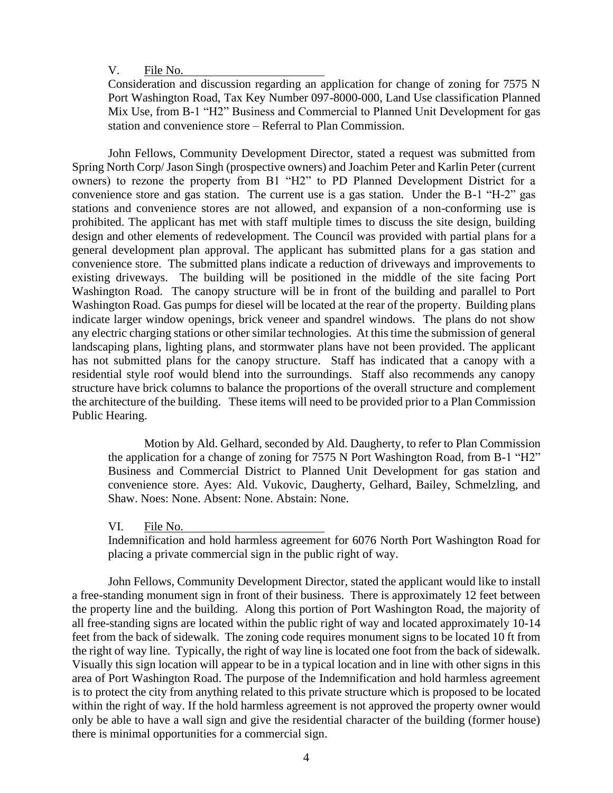V. File No.

Consideration and discussion regarding an application for change of zoning for 7575 N Port Washington Road, Tax Key Number 097-8000-000, Land Use classification Planned Mix Use, from B-1 "H2" Business and Commercial to Planned Unit Development for gas station and convenience store – Referral to Plan Commission.

John Fellows, Community Development Director, stated a request was submitted from Spring North Corp/ Jason Singh (prospective owners) and Joachim Peter and Karlin Peter (current owners) to rezone the property from B1 "H2" to PD Planned Development District for a convenience store and gas station. The current use is a gas station. Under the B-1 "H-2" gas stations and convenience stores are not allowed, and expansion of a non-conforming use is prohibited. The applicant has met with staff multiple times to discuss the site design, building design and other elements of redevelopment. The Council was provided with partial plans for a general development plan approval. The applicant has submitted plans for a gas station and convenience store. The submitted plans indicate a reduction of driveways and improvements to existing driveways. The building will be positioned in the middle of the site facing Port Washington Road. The canopy structure will be in front of the building and parallel to Port Washington Road. Gas pumps for diesel will be located at the rear of the property. Building plans indicate larger window openings, brick veneer and spandrel windows. The plans do not show any electric charging stations or other similar technologies. At this time the submission of general landscaping plans, lighting plans, and stormwater plans have not been provided. The applicant has not submitted plans for the canopy structure. Staff has indicated that a canopy with a residential style roof would blend into the surroundings. Staff also recommends any canopy structure have brick columns to balance the proportions of the overall structure and complement the architecture of the building. These items will need to be provided prior to a Plan Commission Public Hearing.

Motion by Ald. Gelhard, seconded by Ald. Daugherty, to refer to Plan Commission the application for a change of zoning for 7575 N Port Washington Road, from B-1 "H2" Business and Commercial District to Planned Unit Development for gas station and convenience store. Ayes: Ald. Vukovic, Daugherty, Gelhard, Bailey, Schmelzling, and Shaw. Noes: None. Absent: None. Abstain: None.

VI. File No.

Indemnification and hold harmless agreement for 6076 North Port Washington Road for placing a private commercial sign in the public right of way.

John Fellows, Community Development Director, stated the applicant would like to install a free-standing monument sign in front of their business. There is approximately 12 feet between the property line and the building. Along this portion of Port Washington Road, the majority of all free-standing signs are located within the public right of way and located approximately 10-14 feet from the back of sidewalk. The zoning code requires monument signs to be located 10 ft from the right of way line. Typically, the right of way line is located one foot from the back of sidewalk. Visually this sign location will appear to be in a typical location and in line with other signs in this area of Port Washington Road. The purpose of the Indemnification and hold harmless agreement is to protect the city from anything related to this private structure which is proposed to be located within the right of way. If the hold harmless agreement is not approved the property owner would only be able to have a wall sign and give the residential character of the building (former house) there is minimal opportunities for a commercial sign.